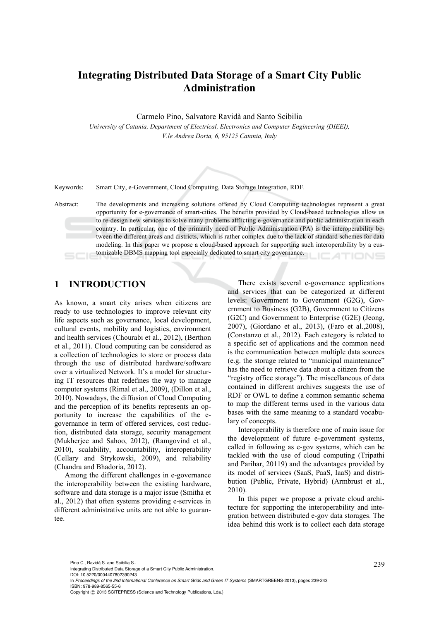# **Integrating Distributed Data Storage of a Smart City Public Administration**

Carmelo Pino, Salvatore Ravidà and Santo Scibilia

*University of Catania, Department of Electrical, Electronics and Computer Engineering (DIEEI), V.le Andrea Doria, 6, 95125 Catania, Italy* 

Keywords: Smart City, e-Government, Cloud Computing, Data Storage Integration, RDF.

Abstract: The developments and increasing solutions offered by Cloud Computing technologies represent a great opportunity for e-governance of smart-cities. The benefits provided by Cloud-based technologies allow us to re-design new services to solve many problems afflicting e-governance and public administration in each country. In particular, one of the primarily need of Public Administration (PA) is the interoperability between the different areas and districts, which is rather complex due to the lack of standard schemes for data modeling. In this paper we propose a cloud-based approach for supporting such interoperability by a customizable DBMS mapping tool especially dedicated to smart city governance. ATIONS

## **1 INTRODUCTION**

As known, a smart city arises when citizens are ready to use technologies to improve relevant city life aspects such as governance, local development, cultural events, mobility and logistics, environment and health services (Chourabi et al., 2012), (Berthon et al., 2011). Cloud computing can be considered as a collection of technologies to store or process data through the use of distributed hardware/software over a virtualized Network. It's a model for structuring IT resources that redefines the way to manage computer systems (Rimal et al., 2009), (Dillon et al., 2010). Nowadays, the diffusion of Cloud Computing and the perception of its benefits represents an opportunity to increase the capabilities of the egovernance in term of offered services, cost reduction, distributed data storage, security management (Mukherjee and Sahoo, 2012), (Ramgovind et al., 2010), scalability, accountability, interoperability (Cellary and Strykowski, 2009), and reliability (Chandra and Bhadoria, 2012).

Among the different challenges in e-governance the interoperability between the existing hardware, software and data storage is a major issue (Smitha et al., 2012) that often systems providing e-services in different administrative units are not able to guarantee.

There exists several e-governance applications and services that can be categorized at different levels: Government to Government (G2G), Government to Business (G2B), Government to Citizens (G2C) and Government to Enterprise (G2E) (Jeong, 2007), (Giordano et al., 2013), (Faro et al.,2008), (Constanzo et al., 2012). Each category is related to a specific set of applications and the common need is the communication between multiple data sources (e.g. the storage related to "municipal maintenance" has the need to retrieve data about a citizen from the "registry office storage"). The miscellaneous of data contained in different archives suggests the use of RDF or OWL to define a common semantic schema to map the different terms used in the various data bases with the same meaning to a standard vocabulary of concepts.

Interoperability is therefore one of main issue for the development of future e-government systems, called in following as e-gov systems, which can be tackled with the use of cloud computing (Tripathi and Parihar, 20119) and the advantages provided by its model of services (SaaS, PaaS, IaaS) and distribution (Public, Private, Hybrid) (Armbrust et al., 2010).

In this paper we propose a private cloud architecture for supporting the interoperability and integration between distributed e-gov data storages. The idea behind this work is to collect each data storage

Pino C., Ravidà S. and Scibilia S..<br>Integrating Distributed Data Storage of a Smart City Public Administration.

DOI: 10.5220/0004407802390243

In *Proceedings of the 2nd International Conference on Smart Grids and Green IT Systems* (SMARTGREENS-2013), pages 239-243 ISBN: 978-989-8565-55-6

Copyright © 2013 SCITEPRESS (Science and Technology Publications, Lda.)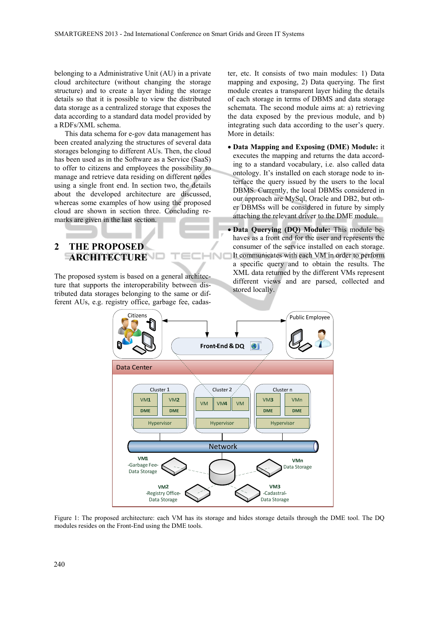belonging to a Administrative Unit (AU) in a private cloud architecture (without changing the storage structure) and to create a layer hiding the storage details so that it is possible to view the distributed data storage as a centralized storage that exposes the data according to a standard data model provided by a RDFs/XML schema.

This data schema for e-gov data management has been created analyzing the structures of several data storages belonging to different AUs. Then, the cloud has been used as in the Software as a Service (SaaS) to offer to citizens and employees the possibility to manage and retrieve data residing on different nodes using a single front end. In section two, the details about the developed architecture are discussed, whereas some examples of how using the proposed cloud are shown in section three. Concluding remarks are given in the last section.

ter, etc. It consists of two main modules: 1) Data mapping and exposing, 2) Data querying. The first module creates a transparent layer hiding the details of each storage in terms of DBMS and data storage schemata. The second module aims at: a) retrieving the data exposed by the previous module, and b) integrating such data according to the user's query. More in details:

 **Data Mapping and Exposing (DME) Module:** it executes the mapping and returns the data according to a standard vocabulary, i.e. also called data ontology. It's installed on each storage node to interface the query issued by the users to the local DBMS. Currently, the local DBMSs considered in our approach are MySql, Oracle and DB2, but other DBMSs will be considered in future by simply attaching the relevant driver to the DME module.

### **2 THE PROPOSED ARCHITECTURE**

The proposed system is based on a general architecture that supports the interoperability between distributed data storages belonging to the same or different AUs, e.g. registry office, garbage fee, cadas-

 **Data Querying (DQ) Module:** This module behaves as a front end for the user and represents the consumer of the service installed on each storage. It communicates with each VM in order to perform **HNIC** a specific query and to obtain the results. The XML data returned by the different VMs represent different views and are parsed, collected and stored locally.



Figure 1: The proposed architecture: each VM has its storage and hides storage details through the DME tool. The DQ modules resides on the Front-End using the DME tools.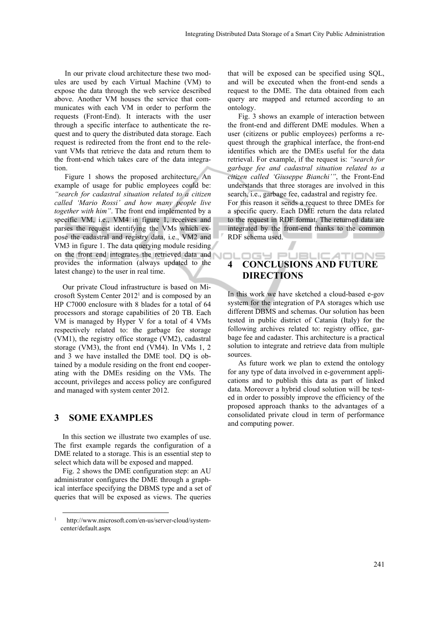In our private cloud architecture these two modules are used by each Virtual Machine (VM) to expose the data through the web service described above. Another VM houses the service that communicates with each VM in order to perform the requests (Front-End). It interacts with the user through a specific interface to authenticate the request and to query the distributed data storage. Each request is redirected from the front end to the relevant VMs that retrieve the data and return them to the front-end which takes care of the data integration.

Figure 1 shows the proposed architecture. An example of usage for public employees could be: *"search for cadastral situation related to a citizen called 'Mario Rossi' and how many people live together with him"*. The front end implemented by a specific VM, i.e., VM4 in figure 1, receives and parses the request identifying the VMs which expose the cadastral and registry data, i.e., VM2 and VM3 in figure 1. The data querying module residing on the front end integrates the retrieved data and provides the information (always updated to the latest change) to the user in real time.

Our private Cloud infrastructure is based on Microsoft System Center 20121 and is composed by an HP C7000 enclosure with 8 blades for a total of 64 processors and storage capabilities of 20 TB. Each VM is managed by Hyper V for a total of 4 VMs respectively related to: the garbage fee storage (VM1), the registry office storage (VM2), cadastral storage (VM3), the front end (VM4). In VMs 1, 2 and 3 we have installed the DME tool. DQ is obtained by a module residing on the front end cooperating with the DMEs residing on the VMs. The account, privileges and access policy are configured and managed with system center 2012.

#### **3 SOME EXAMPLES**

In this section we illustrate two examples of use. The first example regards the configuration of a DME related to a storage. This is an essential step to select which data will be exposed and mapped.

Fig. 2 shows the DME configuration step: an AU administrator configures the DME through a graphical interface specifying the DBMS type and a set of queries that will be exposed as views. The queries

that will be exposed can be specified using SQL, and will be executed when the front-end sends a request to the DME. The data obtained from each query are mapped and returned according to an ontology.

Fig. 3 shows an example of interaction between the front-end and different DME modules. When a user (citizens or public employees) performs a request through the graphical interface, the front-end identifies which are the DMEs useful for the data retrieval. For example, if the request is: *"search for garbage fee and cadastral situation related to a citizen called 'Giuseppe Bianchi'"*, the Front-End understands that three storages are involved in this search, i.e., garbage fee, cadastral and registry fee. For this reason it sends a request to three DMEs for a specific query. Each DME return the data related

to the request in RDF format. The returned data are integrated by the front-end thanks to the common RDF schema used.

#### **JBLICATIONS 4 CONCLUSIONS AND FUTURE DIRECTIONS**

 $\blacksquare$ 

sπ

In this work we have sketched a cloud-based e-gov system for the integration of PA storages which use different DBMS and schemas. Our solution has been tested in public district of Catania (Italy) for the following archives related to: registry office, garbage fee and cadaster. This architecture is a practical solution to integrate and retrieve data from multiple sources.

As future work we plan to extend the ontology for any type of data involved in e-government applications and to publish this data as part of linked data. Moreover a hybrid cloud solution will be tested in order to possibly improve the efficiency of the proposed approach thanks to the advantages of a consolidated private cloud in term of performance and computing power.

 <sup>1</sup> http://www.microsoft.com/en-us/server-cloud/systemcenter/default.aspx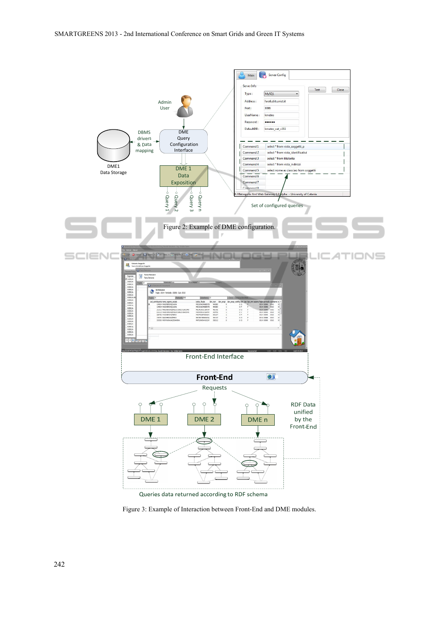

Figure 3: Example of Interaction between Front-End and DME modules.